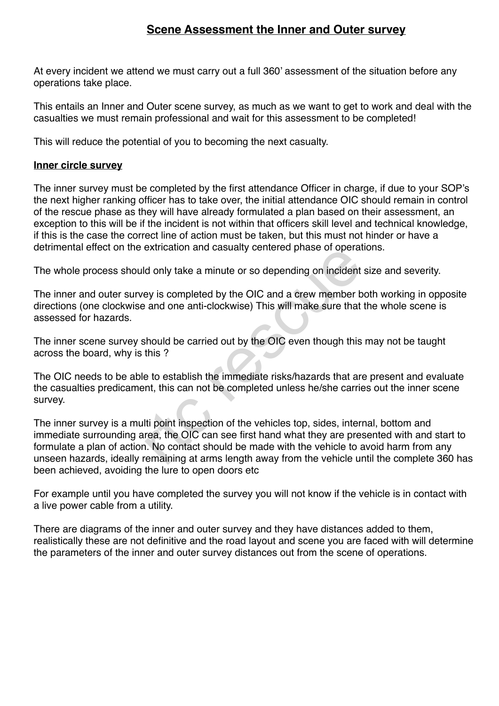## **Scene Assessment the Inner and Outer survey**

At every incident we attend we must carry out a full 360' assessment of the situation before any operations take place.

This entails an Inner and Outer scene survey, as much as we want to get to work and deal with the casualties we must remain professional and wait for this assessment to be completed!

This will reduce the potential of you to becoming the next casualty.

## **Inner circle survey**

The inner survey must be completed by the first attendance Officer in charge, if due to your SOP's the next higher ranking officer has to take over, the initial attendance OIC should remain in control of the rescue phase as they will have already formulated a plan based on their assessment, an exception to this will be if the incident is not within that officers skill level and technical knowledge, if this is the case the correct line of action must be taken, but this must not hinder or have a detrimental effect on the extrication and casualty centered phase of operations.

The whole process should only take a minute or so depending on incident size and severity.

The inner and outer survey is completed by the OIC and a crew member both working in opposite directions (one clockwise and one anti-clockwise) This will make sure that the whole scene is assessed for hazards.

The inner scene survey should be carried out by the OIC even though this may not be taught across the board, why is this ?

The OIC needs to be able to establish the immediate risks/hazards that are present and evaluate the casualties predicament, this can not be completed unless he/she carries out the inner scene survey.

The inner survey is a multi point inspection of the vehicles top, sides, internal, bottom and immediate surrounding area, the OIC can see first hand what they are presented with and start to formulate a plan of action. No contact should be made with the vehicle to avoid harm from any unseen hazards, ideally remaining at arms length away from the vehicle until the complete 360 has been achieved, avoiding the lure to open doors etc exincation and casualty centered phase of operate<br>Id only take a minute or so depending on incident<br>ey is completed by the OIC and a crew member b<br>and one anti-clockwise) This will make sure that<br>should be carried out by t

For example until you have completed the survey you will not know if the vehicle is in contact with a live power cable from a utility.

There are diagrams of the inner and outer survey and they have distances added to them, realistically these are not definitive and the road layout and scene you are faced with will determine the parameters of the inner and outer survey distances out from the scene of operations.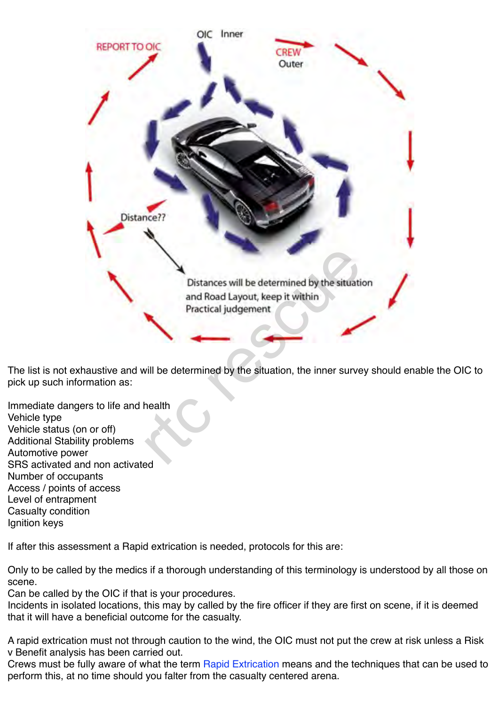

The list is not exhaustive and will be determined by the situation, the inner survey should enable the OIC to pick up such information as:

Immediate dangers to life and health Vehicle type Vehicle status (on or off) Additional Stability problems Automotive power SRS activated and non activated Number of occupants Access / points of access Level of entrapment Casualty condition Ignition keys

If after this assessment a Rapid extrication is needed, protocols for this are:

Only to be called by the medics if a thorough understanding of this terminology is understood by all those on scene.

Can be called by the OIC if that is your procedures.

Incidents in isolated locations, this may by called by the fire officer if they are first on scene, if it is deemed that it will have a beneficial outcome for the casualty.

A rapid extrication must not through caution to the wind, the OIC must not put the crew at risk unless a Risk v Benefit analysis has been carried out.

Crews must be fully aware of what the term Rapid Extrication means and the techniques that can be used to perform this, at no time should you falter from the casualty centered arena.